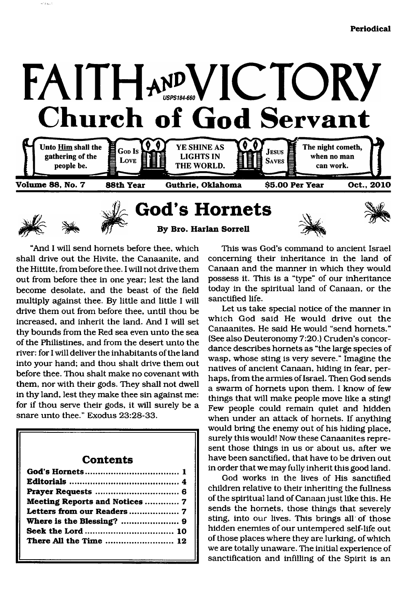



 $\omega_{\rm 3\,km}$ 

<span id="page-0-0"></span>**God's Hornets By Bro. Harlan Sorrell**





"And I will send hornets before thee, which shall drive out the Hivite, the Canaanite, and the Hittite, from before thee. I will not drive them out from before thee in one year; lest the land become desolate, and the beast of the field multiply against thee. By little and little I will drive them out from before thee, until thou be increased, and inherit the land. And I will set thy bounds from the Red sea even unto the sea of the Philistines, and from the desert unto the river: for I will deliver the inhabitants of the land into your hand; and thou shalt drive them out before thee. Thou shalt make no covenant with them, nor with their gods. They shall not dwell in thy land, lest they make thee sin against me: for if thou serve their gods, it will surely be a snare unto thee." Exodus 23:28-33.

### **Contents**

| Meeting Reports and Notices  7 |  |
|--------------------------------|--|
|                                |  |
|                                |  |
|                                |  |
|                                |  |
|                                |  |

This was God's command to ancient Israel concerning their inheritance in the land of Canaan and the manner in which they would possess it. This is a "type" of our inheritance today in the spiritual land of Canaan, or the sanctified life.

Let us take special notice of the manner in which God said He would drive out the Canaanites. He said He would "send hornets." (See also Deuteronomy 7:20.) Cruden's concordance describes hornets as "the large species of wasp, whose sting is very severe." Imagine the natives of ancient Canaan, hiding in fear, perhaps, from the armies of Israel. Then God sends a swarm of hornets upon them. I know of few things that will make people move like a sting! Few people could remain quiet and hidden when under an attack of hornets. If anything would bring the enemy out of his hiding place, surely this would! Now these Canaanites represent those things in us or about us, after we have been sanctified, that have to be driven out in order that we may fully inherit this good land.

God works in the lives of His sanctified children relative to their inheriting the fullness of the spiritual land of Canaan just like this. He sends the hornets, those things that severely sting, into our lives. This brings all of those hidden enemies of our untempered self-life out of those places where they are lurking, of which we are totally unaware. The initial experience of sanctification and infilling of the Spirit is an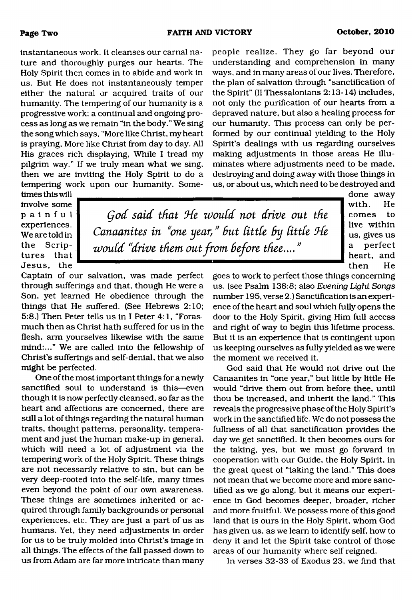instantaneous work. It cleanses our carnal nature and thoroughly purges our hearts. The Holy Spirit then comes in to abide and work in us. But He does not instantaneously temper either the natural or acquired traits of our humanity. The tempering of our humanity is a progressive work; a continual and ongoing process as long as we remain "in the body." We sing the song which says, "More like Christ, my heart is praying, More like Christ from day to day. All His graces rich displaying, While I tread my pilgrim way." If we truly mean what we sing, then we are inviting the Holy Spirit to do a tempering work upon our humanity. Somepeople realize. They go far beyond our understanding and comprehension in many ways, and in many areas of our lives. Therefore, the plan of salvation through "sanctification of the Spirit" (II Thessalonians 2:13-14} includes, not only the purification of our hearts from a depraved nature, but also a healing process for our humanity. This process can only be performed by our continual yielding to the Holy Spirit's dealings with us regarding ourselves making adjustments in those areas He illuminates where adjustments need to be made, destroying and doing away with those things in us, or about us, which need to be destroyed and

times this will involve some **painful** experiences. We are told in the Scriptures that Jesus, the

*Qod said that Ode would not drive out the Canaanites in "one year, " but little by little Ode would "drive them out from before thee.... "*

done away with. He com es to live within us, gives us a perfect heart, and then He

Captain of our salvation, was made perfect through sufferings and that, though He were a Son, yet learned He obedience through the things that He suffered. (See Hebrews 2:10; 5:8.) Then Peter tells us in I Peter 4:1, "Forasmuch then as Christ hath suffered for us in the flesh, arm yourselves likewise with the same mind:..." We are called into the fellowship of Christ's sufferings and self-denial, that we also might be perfected.

One of the most important things for a newly sanctified soul to understand is this—even though it is now perfectly cleansed, so far as the heart and affections are concerned, there are still a lot of things regarding the natural human traits, thought patterns, personality, temperament and just the human make-up in general, which will need a lot of adjustment via the tempering work of the Holy Spirit. These things are not necessarily relative to sin, but can be very deep-rooted into the self-life, many times even beyond the point of our own awareness. These things are sometimes inherited or acquired through family backgrounds or personal experiences, etc. They are just a part of us as humans. Yet, they need adjustments in order for us to be truly molded into Christ's image in all things. The effects of the fall passed down to us from Adam are far more intricate than many

goes to work to perfect those things concerning us. (see Psalm 138:8; also *Evening Light Songs* number 195, verse 2.) Sanctification is an experience of the heart and soul which fully opens the door to the Holy Spirit, giving Him full access and right of way to begin this lifetime process. But it is an experience that is contingent upon us keeping ourselves as fully yielded as we were the moment we received it.

God said that He would not drive out the Canaanites in "one year," but little by little He would "drive them out from before thee, until thou be increased, and inherit the land." This reveals the progressive phase of the Holy Spirit's work in the sanctified life. We do not possess the fullness of all that sanctification provides the day we get sanctified. It then becomes ours for the taking, yes, but we must go forward in cooperation with our Guide, the Holy Spirit, in the great quest of "taking the land." This does not mean that we become more and more sanctified as we go along, but it means our experience in God becomes deeper, broader, richer and more fruitful. We possess more of this good land that is ours in the Holy Spirit, whom God has given us, as we learn to identify self, how to deny it and let the Spirit take control of those areas of our humanity where self reigned.

In verses 32-33 of Exodus 23, we find that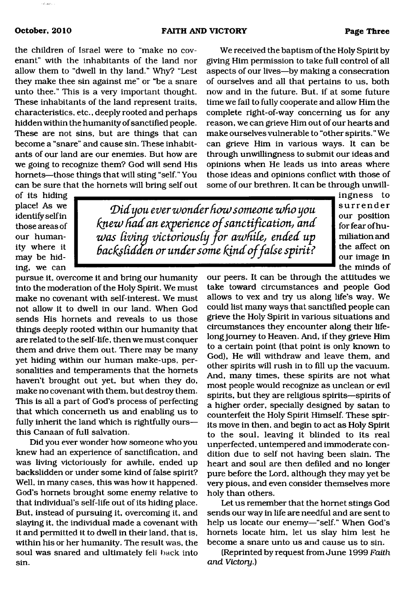the children of Israel were to "make no covenant" with the inhabitants of the land nor allow them to "dwell in thy land." Why? "Lest they make thee sin against me" or "be a snare unto thee." This is a very important thought. These inhabitants of the land represent traits, characteristics, etc., deeply rooted and perhaps hidden within the humanity of sanctified people. These are not sins, but are things that can become a "snare" and cause sin. These inhabitants of our land are our enemies. But how are we going to recognize them? God will send His hornets—those things that will sting "self." You can be sure that the hornets will bring self out

We received the baptism of the Holy Spirit by giving Him permission to take full control of all aspects of our lives—by making a consecration of ourselves and all that pertains to us, both now and in the future. But, if at some future time we fail to fully cooperate and allow Him the complete right-of-way concerning us for any reason, we can grieve Him out of our hearts and make ourselves vulnerable to "other spirits." We can grieve Him in various ways. It can be through unwillingness to submit our ideas and opinions when He leads us into areas where those ideas and opinions conflict with those of some of our brethren. It can be through unwill-

of its hiding place! As we identify self in those areas of our humanity where it may be hiding, we can

 $\mathcal{D}$ id you ever wonder how someone who you *knew fmdan eiqperience o f sanctification, and was livina victoriously fo r awnile, ended up backslidden or under some kind o f false spirit?*

pursue it, overcome it and bring our humanity into the moderation of the Holy Spirit. We must make no covenant with self-interest. We must not allow it to dwell in our land. When God sends His hornets and reveals to us those things deeply rooted within our humanity that are related to the self-life, then we must conquer them and drive them out. There may be many yet hiding within our human make-ups, personalities and temperaments that the hornets haven't brought out yet, but when they do, make no covenant with them, but destroy them. This is all a part of God's process of perfecting that which concemeth us and enabling us to fully inherit the land which is rightfully ours this Canaan of full salvation.

Did you ever wonder how someone who you knew had an experience of sanctification, and was living victoriously for awhile, ended up backslidden or under some kind of false spirit? Well, in many cases, this was how it happened. God's hornets brought some enemy relative to that individual's self-life out of its hiding place. But, instead of pursuing it, overcoming it, and slaying it, the individual made a covenant with it and permitted it to dwell in their land, that is, within his or her humanity. The result was, the soul was snared and ultimately fell back into sin.

our peers. It can be through the attitudes we take toward circumstances and people God allows to vex and try us along life's way. We could list many ways that sanctified people can grieve the Holy Spirit in various situations and circumstances they encounter along their lifelong journey to Heaven. And, if they grieve Him to a certain point (that point is only known to God), He will withdraw and leave them, and other spirits will rush in to fill up the vacuum. And, many times, these spirits are not what most people would recognize as unclean or evil spirits, but they are religious spirits—spirits of a higher order, specially designed by satan to counterfeit the Holy Spirit Himself. These spirits move in then, and begin to act as Holy Spirit to the soul, leaving it blinded to its real unperfected, untempered and immoderate condition due to self not having been slain. The heart and soul are then defiled and no longer pure before the Lord, although they may yet be very pious, and even consider themselves more holy than others.

Let us remember that the hornet stings God sends our way in life are needful and are sent to help us locate our enemy—"self." When God's hornets locate him, let us slay him lest he become a snare unto us and cause us to sin.

(Reprinted by request from June 1999 *Faith and Victory.)*

ingness to surrender our position for fear of humiliation and the affect on our image in the minds of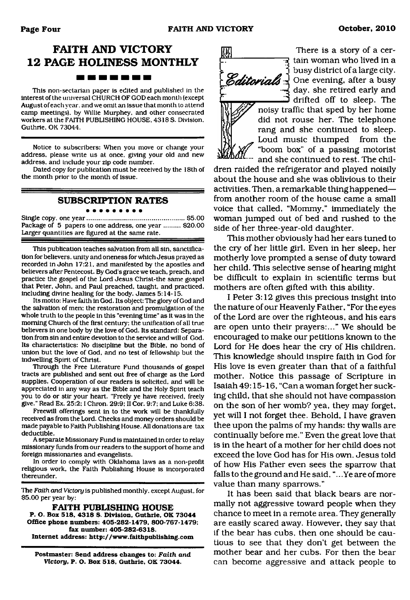### **FAITH AND VICTORY 12 PAGE HOLINESS MONTHLY** -------

This non-sectarian paper is edited and published in the interest of the universal CHURCH OF GOD each month (except August of each year, and we omit an issue that month to attend camp meetings), by Willie Murphey, and other consecrated workers at the FAITH PUBLISHING HOUSE, 4318 S. Division, Guthrie, OK 73044.

Notice to subscribers: When you move or change your address, please write us at once, giving your old and new address, and include your zip code number.

Dated copy for publication must be received by the 18th of the month prior to the month of issue.

#### **SUBSCRIPTION RATES**

Single copy, one year...................................................... \$5.00 Package of 5 papers to one address, one year ......... \$20.00 Larger quantities are figured at the same rate.

This publication teaches salvation from all sin, sanctification for believers, unity and oneness for which Jesus prayed as recorded in John 17:21, and manifested by the apostles and believers after Pentecost. By God's grace we teach, preach, and practice the gospel of the Lord Jesus Christ-the same gospel that Peter, John, and Paul preached, taught, and practiced, including divine healing for the body. James 5:14-15.

Its motto: Have faith in God. Its object: The glory of God and the salvation of men; the restoration and promulgation of the whole truth to the people in this "evening time" as it was in the morning Church of the first century; the unification of all true believers in one body by the love of God. Its standard: Separation from sin and entire devotion to the service and will of God. Its characteristics: No discipline but the Bible, no bond of union but the love of God, and no test of fellowship but the indwelling Spirit of Christ.

Through the Free Literature Fund thousands of gospel tracts are published and sent out free of charge as the Lord supplies. Cooperation of our readers is solicited, and will be appreciated in any way as the Bible and the Holy Spirit teach you to do or stir your heart. "Freely ye have received, freely give." Read Ex. 25:2; I Chron. 29:9; II Cor. 9:7; and Luke 6:38.

Freewill offerings sent in to the work will be thankfully received as from the Lord. Checks and money orders should be made payable to Faith Publishing House. All donations are tax deductible.

A separate Missionary Fund is maintained in order to relay missionary funds from our readers to the support of home and foreign missionaries and evangelists.

In order to comply with Oklahoma laws as a non-profit religious work, the Faith Publishing House is incorporated thereunder.

The *Faith and Victory* is published monthly, except August, for \$5.00 per year by:

**FAITH PUBLISHING HOUSE P. O. Box 518. 4318 S. Division. Guthrie. OK 73044 Office phone numbers: 405-282-1479, 800-767-1479; fax number: 405-282-6318. Internet address: <http://www.faithpublishing.com>**

**Postmaster: Send address changes to:** *Faith* **and** *Victory,* **P. O. Box 518, Guthrie, OK 73044.**

IJ

There is a story of a cer-  $\mathbf{\bar{\mathbf{x}}}$  tain woman who lived in a busy district of a large city. **Editorials**  $\frac{1}{2}$  One evening, after a busy day, she retired early and drifted off to sleep. The

noisy traffic that sped by her home did not rouse her. The telephone rang and she continued to sleep. Loud music thumped from the "boom box" of a passing motorist and she continued to rest. The chil-

dren raided the refrigerator and played noisily about the house and she was oblivious to their activities. Then, a remarkable thing happened from another room of the house came a small voice that called, "Mommy," immediately the woman jumped out of bed and rushed to the side of her three-year-old daughter.

This mother obviously had her ears tuned to the ciy of her little girl. Even in her sleep, her motherly love prompted a sense of duty toward her child. This selective sense of hearing might be difficult to explain in scientific terms but mothers are often gifted with this ability.

I Peter 3:12 gives this precious insight into the nature of our Heavenly Father, "For the eyes of the Lord are over the righteous, and his ears are open unto their prayers:..." We should be encouraged to make our petitions known to the Lord for He does hear the cry of His children. This knowledge should inspire faith in God for His love is even greater than that of a faithful mother. Notice this passage of Scripture in Isaiah 49:15-16, "Can a woman forget her sucking child, that she should not have compassion on the son of her womb? yea, they may forget, yet will I not forget thee. Behold, I have graven thee upon the palms of my hands: thy walls are continually before me." Even the great love that is in the heart of a mother for her child does not exceed the love God has for His own. Jesus told of how His Father even sees the sparrow that falls to the ground and He said, ".. .Ye are of more value than many sparrows."

It has been said that black bears are normally not aggressive toward people when they chance to meet in a remote area. They generally are easily scared away. However, they say that if the bear has cubs, then one should be cautious to see that they don't get between the mother bear and her cubs. For then the bear can become aggressive and attack people to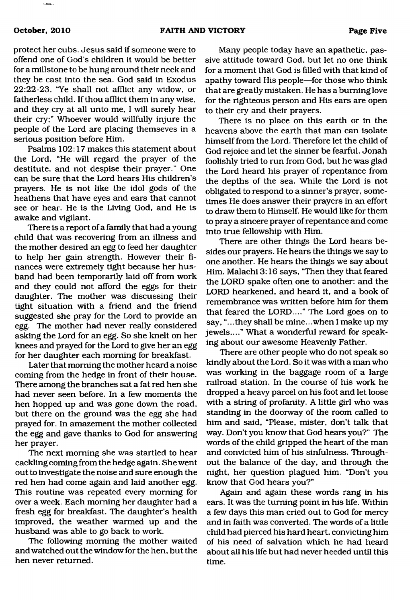protect her cubs. Jesus said if someone were to offend one of God's children it would be better for a millstone to be hung around their neck and they be cast into the sea. God said in Exodus 22:22-23, "Ye shall not afflict any widow, or fatherless child. If thou afflict them in any wise, and they cry at all unto me, I will surely hear their cry;" Whoever would willfully injure the people of the Lord are placing themseves in a serious position before Him.

Psalms 102:17 makes this statement about the Lord, "He will regard the prayer of the destitute, and not despise their prayer." One can be sure that the Lord hears His children's prayers. He is not like the idol gods of the heathens that have eyes and ears that cannot see or hear. He is the Living God, and He is awake and vigilant.

There is a report of a family that had a young child that was recovering from an illness and the mother desired an egg to feed her daughter to help her gain strength. However their finances were extremely tight because her husband had been temporarily laid off from work and they could not afford the eggs for their daughter. The mother was discussing their tight situation with a friend and the friend suggested she pray for the Lord to provide an egg. The mother had never really considered asking the Lord for an egg. So she knelt on her knees and prayed for the Lord to give her an egg for her daughter each morning for breakfast.

Later that morning the mother heard a noise coming from the hedge in front of their house. There among the branches sat a fat red hen she had never seen before. In a few moments the hen hopped up and was gone down the road, but there on the ground was the egg she had prayed for. In amazement the mother collected the egg and gave thanks to God for answering her prayer.

The next morning she was startled to hear cackling coming from the hedge again. She went out to investigate the noise and sure enough the red hen had come again and laid another egg. This routine was repeated every morning for over a week. Each morning her daughter had a fresh egg for breakfast. The daughter's health improved, the weather warmed up and the husband was able to go back to work.

The following morning the mother waited and watched out the window for the hen, but the hen never returned.

Many people today have an apathetic, passive attitude toward God, but let no one think for a moment that God is filled with that kind of apathy toward His people—for those who think that are greatly mistaken. He has a burning love for the righteous person and His ears are open to their cry and their prayers.

There is no place on this earth or in the heavens above the earth that man can isolate himself from the Lord. Therefore let the child of God rejoice and let the sinner be fearful. Jonah foolishly tried to run from God, but he was glad the Lord heard his prayer of repentance from the depths of the sea. While the Lord is not obligated to respond to a sinner's prayer, sometimes He does answer their prayers in an effort to draw them to Himself. He would like for them to pray a sincere prayer of repentance and come into true fellowship with Him.

There are other things the Lord hears besides our prayers. He hears the things we say to one another. He hears the things we say about Him. Malachi 3:16 says, "Then they that feared the LORD spake often one to another: and the LORD hearkened, and heard it, and a book of remembrance was written before him for them that feared the LORD...." The Lord goes on to say, "...they shall be mine.. .when I make up my jewels...." What a wonderful reward for speaking about our awesome Heavenly Father.

There are other people who do not speak so kindly about the Lord. So it was with a man who was working in the baggage room of a large railroad station. In the course of his work he dropped a heavy parcel on his foot and let loose with a string of profanity. A little girl who was standing in the doorway of the room called to him and said, "Please, mister, don't talk that way. Don't you know that God hears you?" The words of the child gripped the heart of the man and convicted him of his sinfulness. Throughout the balance of the day, and through the night, her question plagued him. "Don't you know that God hears you?"

Again and again these words rang in his ears. It was the turning point in his life. Within a few days this man cried out to God for mercy and in faith was converted. The words of a little child had pierced his hard heart, convicting him of his need of salvation which he had heard about all his life but had never heeded until this time.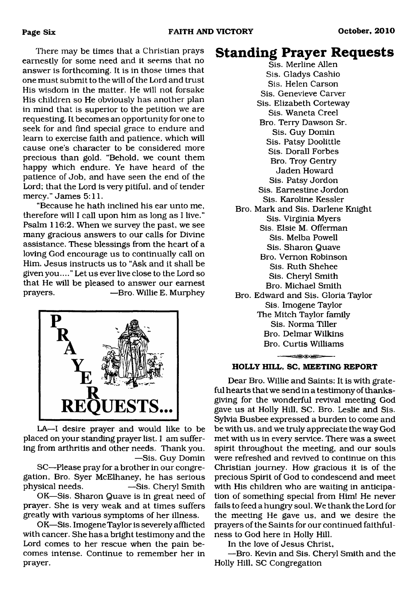There may be times that a Christian prays earnestly for some need and it seems that no answer is forthcoming. It is in those times that one must submit to the will of the Lord and trust His wisdom in the matter. He will not forsake His children so He obviously has another plan in mind that is superior to the petition we are requesting. It becomes an opportunity for one to seek for and find special grace to endure and learn to exercise faith and patience, which will cause one's character to be considered more precious than gold. "Behold, we count them happy which endure. Ye have heard of the patience of Job, and have seen the end of the Lord; that the Lord is very pitiful, and of tender mercy." James 5:11.

"Because he hath inclined his ear unto me, therefore will I call upon him as long as I live." Psalm 116:2. When we survey the past, we see many gracious answers to our calls for Divine assistance. These blessings from the heart of a loving God encourage us to continually call on Him. Jesus instructs us to "Ask and it shall be given you...." Let us ever live close to the Lord so that He will be pleased to answer our earnest prayers. —Bro. Willie E. Murphey



LA—I desire prayer and would like to be placed on your standing prayer list. I am suffering from arthritis and other needs. Thank you. —Sis. Guy Domin

SC—Please pray for a brother in our congregation, Bro. Syer McElhaney, he has serious physical needs. — Sis. Cheryl Smith

OK—Sis. Sharon Quave is in great need of prayer. She is very weak and at times suffers greatly with various symptoms of her illness.

OK—Sis. Imogene Taylor is severely afflicted with cancer. She has a bright testimony and the Lord comes to her rescue when the pain becomes intense. Continue to remember her in prayer.

## **Standing Prayer Requests**

Sis. Merline Allen Sis. Gladys Cashio Sis. Helen Carson Sis. Genevieve Carver Sis. Elizabeth Corteway Sis. Waneta Creel Bro. Terry Dawson Sr. Sis. Guy Domin Sis. Patsy Doolittle Sis. Dorall Forbes Bro. Troy Gentry Jaden Howard Sis. Patsy Jordon Sis. Eamestine Jordon Sis. Karoline Kessler Bro. Mark and Sis. Darlene Knight Sis. Virginia Myers Sis. Elsie M. Offerman Sis. Melba Powell Sis. Sharon Quave Bro. Vernon Robinson Sis. Ruth Shehee Sis. Cheryl Smith Bro. Michael Smith Bro. Edward and Sis. Gloria Taylor Sis. Imogene Taylor The Mitch Taylor family Sis. Norma Tiller Bro. Delmar Wilkins Bro. Curtis Williams 

#### **HOLLY HILL, SC, MEETING REPORT**

Dear Bro. Willie and Saints: It is with grateful hearts that we send in a testimony of thanksgiving for the wonderful revival meeting God gave us at Holly Hill, SC. Bro. Leslie and Sis. Sylvia Busbee expressed a burden to come and be with us, and we truly appreciate the way God met with us in every service. There was a sweet spirit throughout the meeting, and our souls were refreshed and revived to continue on this Christian journey. How gracious it is of the precious Spirit of God to condescend and meet with His children who are waiting in anticipation of something special from Him! He never fails to feed a hungry soul. We thank the Lord for the meeting He gave us, and we desire the prayers of the Saints for our continued faithfulness to God here in Holly Hill.

In the love of Jesus Christ,

—Bro. Kevin and Sis. Cheryl Smith and the Holly Hill, SC Congregation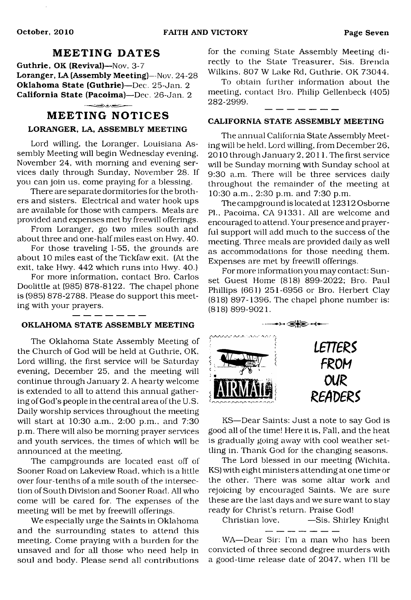### **MEETING DATES**

**Guthrie, OK (Revival)**—Nov. 3-7 Loranger, LA (Assembly Meeting)—Nov. 24-28 **Oklahoma State (Guthrie)**—Dec. 25-Jan. 2 **California State (Pacoima)**—Dec. 26-Jan. 2 المستعمل فالحناء

#### **MEETING NOTICES**

#### **LORANGER, LA, ASSEMBLY MEETING**

Lord willing, the Loranger, Louisiana Assembly Meeting will begin Wednesday evening, November 24, with morning and evening services daily through Sunday, November 28. If you can join us, come praying for a blessing.

There are separate dormitories for the brothers and sisters. Electrical and water hook ups are available for those with campers. Meals are provided and expenses met by freewill offerings.

From Loranger, go two miles south and about three and one-half miles east on Hwy. 40.

For those traveling 1-55, the grounds are about 10 miles east of the Tickfaw exit. (At the exit, take Hwy. 442 which runs into Hwy. 40.)

For more information, contact Bro. Carlos Doolittle at (985) 878-8122. The chapel phone is (985) 878-2788. Please do support this meeting with your prayers.

#### **OKLAHOMA STATE ASSEMBLY MEETING**

The Oklahoma State Assembly Meeting of the Church of God will be held at Guthrie, OK, Lord willing, the first service will be Saturday evening, December 25, and the meeting will continue through January 2. A hearty welcome is extended to all to attend this annual gathering of God's people in the central area of the U.S. Daily worship services throughout the meeting will start at 10:30 a.m., 2:00 p.m., and 7:30 p.m. There will also be morning prayer services and youth services, the times of which will be announced at the meeting.

The campgrounds are located east off of Sooner Road on Lakeview Road, which is a little over four-tenths of a mile south of the intersection of South Division and Sooner Road. All who come will be cared for. The expenses of the meeting will be met by freewill offerings.

We especially urge the Saints in Oklahoma and the surrounding states to attend this meeting. Come praying with a burden for the unsaved and for all those who need help in soul and body. Please send all contributions for the coming State Assembly Meeting directly to the State Treasurer, Sis. Brenda Wilkins. 807 W Lake Rd, Guthrie, OK 73044.

To obtain further information about the meeting, contact Bro. Philip Gellenbeck (405) 282-2999.

#### **CALIFORNIA STATE ASSEMBLY MEETING**

The annual California State Assembly Meeting will be held. Lord willing, from December 26,  $2010$  through January  $2, 2011$ . The first service will be Sunday morning with Sunday school at 9:30 a.m. There will be three services daily throughout the remainder of the meeting at 10:30 a.m., 2:30 p.m. and 7:30 p.m.

The campground is located at 12312 Osborne PL, Pacoima, CA 91331. All are welcome and encouraged to attend. Your presence and prayerful support will add much to the success of the meeting. Three meals are provided daily as well as accommodations for those needing them. Expenses are met by freewill offerings.

For more information you may contact: Sunset Guest Home (818) 899-2022; Bro. Paul Phillips (661) 251-6956 or Bro. Herbert Clay (818) 897-1396. The chapel phone number is: (818) 899-9021.



KS—Dear Saints: Just a note to say God is good all of the time! Here it is, Fall, and the heat is gradually going away with cool weather settling in. Thank God for the changing seasons.

The Lord blessed in our meeting (Wichita, KS) with eight ministers attending at one time or the other. There was some altar work and rejoicing by encouraged Saints. We are sure these are the last days and we sure want to stay ready for Christ's return. Praise God!

Christian love, —Sis. Shirley Knight \_ \_ \_ \_ \_ \_ \_

WA—Dear Sir: I'm a man who has been convicted of three second degree murders with a good-time release date of 2047, when I'll be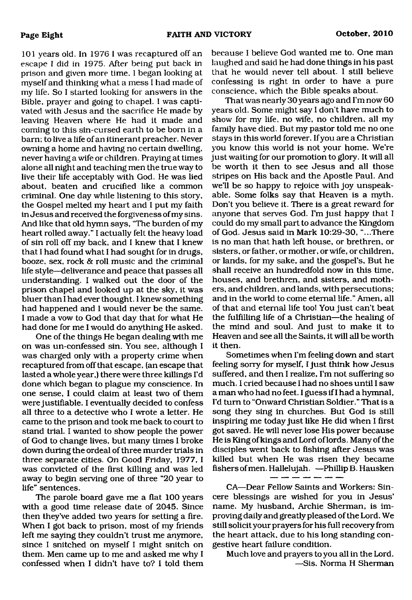101 years old. In 1976 I was recaptured off an escape I did in 1975. After being put back in prison and given more time, I began looking at myself and thinking what a mess I had made of my life. So I started looking for answers in the Bible, prayer and going to chapel. I was captivated with Jesus and the sacrifice He made by leaving Heaven where He had it made and coming to this sin-cursed earth to be born in a barn; to live a life of an itinerant preacher. Never owning a home and having no certain dwelling, never having a wife or children. Praying at times alone all night and teaching men the true way to live their life acceptably with God. He was lied about, beaten and crucified like a common criminal. One day while listening to this story, the Gospel melted my heart and I put my faith in Jesus and received the forgiveness of my sins. And like that old hymn says, "The burden of my heart rolled away." I actually felt the heavy load of sin roll off my back, and I knew that I knew that I had found what I had sought for in drugs, booze, sex, rock & roll music and the criminal life style—deliverance and peace that passes all understanding. I walked out the door of the prison chapel and looked up at the sky, it was bluer than I had ever thought. I knew something had happened and I would never be the same. I made a vow to God that day that for what He had done for me I would do anything He asked.

One of the things He began dealing with me on was un-confessed sin. You see, although I was charged only with a property crime when recaptured from off that escape, (an escape that lasted a whole year,) there were three killings I'd done which began to plague my conscience. In one sense, I could claim at least two of them were justifiable. I eventually decided to confess all three to a detective who I wrote a letter. He came to the prison and took me back to court to stand trial. I wanted to show people the power of God to change lives, but many times I broke down during the ordeal of three murder trials in three separate cities. On Good Friday, 1977, I was convicted of the first killing and was led away to begin serving one of three "20 year to life" sentences.

The parole board gave me a flat 100 years with a good time release date of 2045. Since then they've added two years for setting a fire. When I got back to prison, most of my friends left me saying they couldn't trust me anymore, since I snitched on myself I might snitch on them. Men came up to me and asked me why I confessed when I didn't have to? I told them

because I believe God wanted me to. One man laughed and said he had done things in his past that he would never tell about. I still believe confessing is right in order to have a pure conscience, which the Bible speaks about.

That was nearly 30 years ago and I'm now 60 years old. Some might say I don't have much to show for my life, no wife, no children, all my family have died. But my pastor told me no one stays in this world forever. If you are a Christian you know this world is not your home. We're just waiting for our promotion to glory. It will all be worth it then to see Jesus and all those stripes on His back and the Apostle Paul. And we'll be so happy to rejoice with joy unspeakable. Some folks say that Heaven is a myth. Don't you believe it. There is a great reward for anyone that serves God. I'm just happy that I could do my small part to advance the Kingdom of God. Jesus said in Mark 10:29-30, "...There is no man that hath left house, or brethren, or sisters, or father, or mother, or wife, or children, or lands, for my sake, and the gospel's, But he shall receive an hundredfold now in this time, houses, and brethren, and sisters, and mothers, and children, and lands, with persecutions; and in the world to come eternal life." Amen, all of that and eternal life too! You just can't beat the fulfilling life of a Christian—the healing of the mind and soul. And just to make it to Heaven and see all the Saints, it will all be worth it then.

Sometimes when I'm feeling down and start feeling sorry for myself, I just think how Jesus suffered, and then I realize, I'm not suffering so much. I cried because I had no shoes until I saw a man who had no feet. I guess if I had a hymnal, I'd turn to "Onward Christian Soldier." That is a song they sing in churches. But God is still inspiring me today just like He did when I first got saved. He will never lose His power because He is King of kings and Lord of lords. Many of the disciples went back to fishing after Jesus was killed but when He was risen they became fishers of men. Hallelujah. —Phillip B. Hausken

CA—Dear Fellow Saints and Workers: Sincere blessings are wished for you in Jesus' name. My husband, Archie Sherman, is improving daily and greatly pleased of the Lord. We still solicit your prayers for his full recovery from the heart attack, due to his long standing congestive heart failure condition.

Much love and prayers to you all in the Lord. —Sis. Norma H Sherman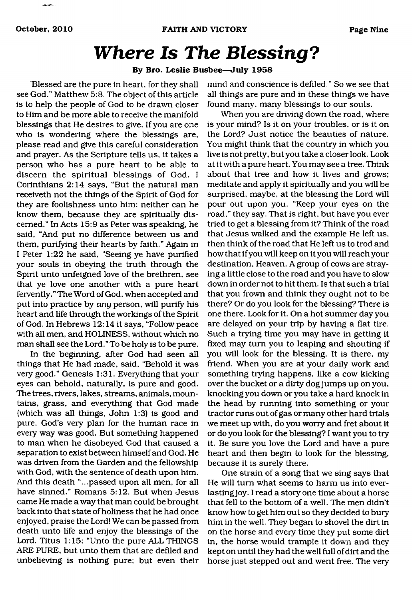# *Where Is The Blessing***?**

#### **By Bro. Leslie Busbee—July 1958**

Blessed are the pure in heart, for they shall see God." Matthew 5:8. The object of this article is to help the people of God to be drawn closer to Him and be more able to receive the manifold blessings that He desires to give. If you are one who is wondering where the blessings are, please read and give this careful consideration and prayer. As the Scripture tells us, it takes a person who has a pure heart to be able to discern the spiritual blessings of God. I Corinthians 2:14 says, "But the natural man receiveth not the things of the Spirit of God for they are foolishness unto him: neither can he know them, because they are spiritually discerned." In Acts 15:9 as Peter was speaking, he said, "And put no difference between us and them, purifying their hearts by faith." Again in I Peter 1:22 he said, "Seeing ye have purified your souls in obeying the truth through the Spirit unto unfeigned love of the brethren, see that ye love one another with a pure heart fervently." The Word of God, when accepted and put into practice by *any* person, will purify his heart and life through the workings of the Spirit of God. In Hebrews 12:14 it says, "Follow peace with all men, and HOLINESS, without which no man shall see the Lord." To be holy is to be pure.

In the beginning, after God had seen all things that He had made, said, "Behold it was very good." Genesis 1:31. Everything that your eyes can behold, naturally, is pure and good. The trees, rivers, lakes, streams, animals, mountains, grass, and everything that God made (which was all things, John 1:3) is good and pure. God's very plan for the human race in every way was good. But something happened to man when he disobeyed God that caused a separation to exist between himself and God. He was driven from the Garden and the fellowship with God, with the sentence of death upon him. And this death "...passed upon all men, for all have sinned." Romans 5:12. But when Jesus came He made a way that man could be brought back into that state of holiness that he had once enjoyed, praise the Lord! We can be passed from death unto life and enjoy the blessings of the Lord. Titus 1:15: "Unto the pure ALL THINGS ARE PURE, but unto them that are defiled and unbelieving is nothing pure; but even their

mind and conscience is defiled." So we see that all things are pure and in these things we have found many, many blessings to our souls.

When you are driving down the road, where is your mind? Is it on your troubles, or is it on the Lord? Just notice the beauties of nature. You might think that the country in which you live is not pretty, but you take a closer look. Look at it with a pure heart. You may see a tree. Think about that tree and how it lives and grows; meditate and apply it spiritually and you will be surprised, maybe, at the blessing the Lord will pour out upon you. "Keep your eyes on the road," they say. That is right, but have you ever tried to get a blessing from it? Think of the road that Jesus walked and the example He left us, then think of the road that He left us to trod and how that if you will keep on it you will reach your destination, Heaven. A group of cows are straying a little close to the road and you have to slow down in order not to hit them. Is that such a trial that you frown and think they ought not to be there? Or do you look for the blessing? There is one there. Look for it. On a hot summer day you are delayed on your trip by having a flat tire. Such a trying time you may have in getting it fixed may turn you to leaping and shouting if you will look for the blessing. It is there, my friend. When you are at your daily work and something trying happens, like a cow kicking over the bucket or a dirty dog jumps up on you, knocking you down or you take a hard knock in the head by running into something or your tractor runs out of gas or many other hard trials we meet up with, do you worry and fret about it or do you look for the blessing? I want you to try it. Be sure you love the Lord and have a pure heart and then begin to look for the blessing, because it is surely there.

One strain of a song that we sing says that He will turn what seems to harm us into everlasting joy. I read a story one time about a horse that fell to the bottom of a well. The men didn't know how to get him out so they decided to bury him in the well. They began to shovel the dirt in on the horse and every time they put some dirt in, the horse would trample it down and they kept on until they had the well full of dirt and the horse just stepped out and went free. The very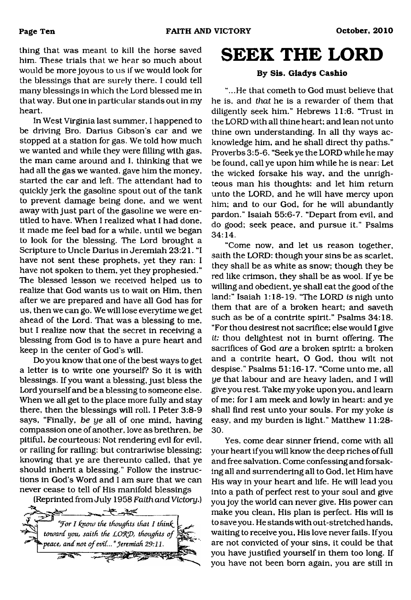thing that was meant to kill the horse saved him. These trials that we hear so much about would be more joyous to us if we would look for the blessings that are surely there. I could tell many blessings in which the Lord blessed me in that way. But one in particular stands out in my heart.

In West Virginia last summer, I happened to be driving Bro. Darius Gibson's car and we stopped at a station for gas. We told how much we wanted and while they were filling with gas, the man came around and I, thinking that we had all the gas we wanted, gave him the money, started the car and left. The attendant had to quickly jerk the gasoline spout out of the tank to prevent damage being done, and we went away with just part of the gasoline we were entitled to have. When I realized what I had done, it made me feel bad for a while, until we began to look for the blessing. The Lord brought a Scripture to Uncle Darius in Jeremiah 23:21. "I have not sent these prophets, yet they ran: I have not spoken to them, yet they prophesied." The blessed lesson we received helped us to realize that God wants us to wait on Him, then after we are prepared and have all God has for us, then we can go. We will lose everytime we get ahead of the Lord. That was a blessing to me, but I realize now that the secret in receiving a blessing from God is to have a pure heart and keep in the center of God's will.

Do you know that one of the best ways to get a letter is to write one yourself? So it is with blessings. If you want a blessing, just bless the Lord yourself and be a blessing to someone else. When we all get to the place more fully and stay there, then the blessings will roll. I Peter 3:8-9 says, "Finally, *be ye* all of one mind, having compassion one of another, love as brethren, *be* pitiful, *be* courteous: Not rendering evil for evil, or railing for railing: but contrariwise blessing; knowing that ye are thereunto called, that ye should inherit a blessing." Follow the instructions in God's Word and I am sure that we can never cease to tell of His manifold blessings

(Reprinted from July 1958 *Faith and Victory.)*



<span id="page-9-0"></span>**SEEK THE LORD**

#### **By Sis. Gladys Cashio**

"...He that cometh to God must believe that he is, and *that* he is a rewarder of them that diligently seek him." Hebrews 11:6. 'Trust in the LORD with all thine heart; and lean not unto thine own understanding. In all thy ways acknowledge him, and he shall direct thy paths." Proverbs 3:5-6. "Seek ye the LORD while he may be found, call ye upon him while he is near: Let the wicked forsake his way, and the unrighteous man his thoughts: and let him return unto the LORD, and he will have mercy upon him; and to our God, for he will abundantly pardon." Isaiah 55:6-7. "Depart from evil, and do good; seek peace, and pursue it." Psalms 34:14.

"Come now, and let us reason together, saith the LORD: though your sins be as scarlet, they shall be as white as snow; though they be red like crimson, they shall be as wool. If ye be willing and obedient, ye shall eat the good of the land:" Isaiah 1:18-19. "The LORD is nigh unto them that are of a broken heart; and saveth such as be of a contrite spirit." Psalms 34:18. "For thou desirest not sacrifice; else would I give *it:* thou delightest not in burnt offering. The sacrifices of God *are* a broken spirit: a broken and a contrite heart, O God, thou wilt not despise." Psalms 51:16-17. "Come unto me, all *ye* that labour and are heavy laden, and I will give you rest. Take my yoke upon you, and learn of me; for I am meek and lowly in heart: and ye shall find rest unto your souls. For my yoke *is* easy, and my burden is light." Matthew 11:28- 30.

Yes, come dear sinner friend, come with all your heart if you will know the deep riches of full and free salvation. Come confessing and forsaking all and surrendering all to God, let Him have His way in your heart and life. He will lead you into a path of perfect rest to your soul and give you joy the world can never give. His power can make you clean, His plan is perfect. His will is to save you. He stands with out-stretched hands, waiting to receive you, His love never fails. If you are not convicted of your sins, it could be that you have justified yourself in them too long. If you have not been bom again, you are still in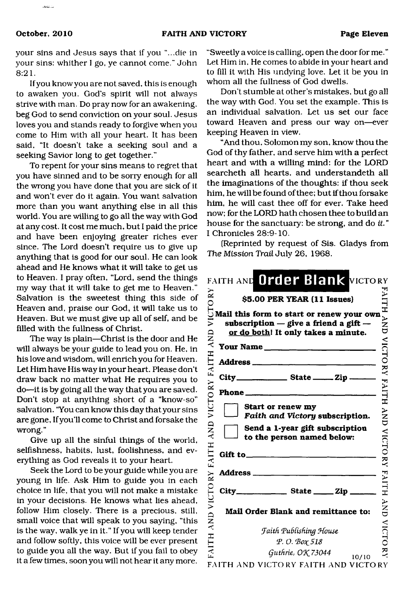your sins and Jesus says that if you "...die in your sins: whither I go, ye cannot come." John 8:21.

If you know you are not saved, this is enough to awaken you. God's spirit will not always strive with man. Do pray now for an awakening, beg God to send conviction on your soul. Jesus loves you and stands ready to forgive when you come to Him with all your heart. It has been said, "It doesn't take a seeking soul and a seeking Savior long to get together."

To repent for your sins means to regret that you have sinned and to be sorry enough for all the wrong you have done that you are sick of it and won't ever do it again. You want salvation more than you want anything else in all this world. You are willing to go all the way with God at any cost. It cost me much, but I paid the price and have been enjoying greater riches ever since. The Lord doesn't require us to give up anything that is good for our soul. He can look ahead and He knows what it will take to get us to Heaven. I pray often, "Lord, send the things my way that it will take to get me to Heaven." Salvation is the sweetest thing this side of Heaven and, praise our God, it will take us to Heaven. But we must give up all of self, and be filled with the fullness of Christ.

The way is plain—Christ is the door and He will always be your guide to lead you on. He, in his love and wisdom, will enrich you for Heaven. Let Him have His way in your heart. Please don't draw back no matter what He requires you to do—it is by going all the way that you are saved. Don't stop at anything short of a "know-so" salvation. "You can know this day that your sins are gone, If you'll come to Christ and forsake the wrong."

Give up all the sinful things of the world, selfishness, habits, lust, foolishness, and everything as God reveals it to your heart.

Seek the Lord to be your guide while you are young in life. Ask Him to guide you in each choice in life, that you will not make a mistake in your decisions. He knows what lies ahead, follow Him closely. There is a precious, still, small voice that will speak to you saying, "this is the way, walk ye in it." If you will keep tender and follow softly, this voice will be ever present to guide you all the way. But if you fail to obey it a few times, soon you will not hear it any more.

"Sweetly a voice is calling, open the door for me." Let Him in. He comes to abide in your heart and to fill it with His undying love. Let it be you in whom all the fullness of God dwells.

Don't stumble at other's mistakes, but go all the way with God. You set the example. This is an individual salvation. Let us set our face toward Heaven and press our way on—ever keeping Heaven in view.

"And thou, Solomon my son, know thou the God of thy father, and serve him with a perfect heart and with a willing mind: for the LORD searcheth all hearts, and understandeth all the imaginations of the thoughts: if thou seek him, he will be found of thee; but if thou forsake him, he will cast thee off for ever. Take heed now; for the LORD hath chosen thee to build an house for the sanctuary: be strong, and do *it* " I Chronicles 28:9-10.

(Reprinted by request of Sis. Gladys from *The Mission Trail July* 26, 1968.

|          | FAITH AND Order Blank VICTORY                                                                                                 |       |
|----------|-------------------------------------------------------------------------------------------------------------------------------|-------|
|          | \$5.00 PER YEAR (11 Issues)                                                                                                   |       |
|          | Mail this form to start or renew your own<br>subscription $-$ give a friend a gift $-$<br>or do both! It only takes a minute. |       |
|          | Your Name                                                                                                                     |       |
|          | Address _____________________                                                                                                 |       |
|          | City__________________________ State __________ Zip _______                                                                   |       |
|          |                                                                                                                               |       |
|          | Start or renew my<br>Faith and Victory subscription.                                                                          |       |
|          | Send a 1-year gift subscription<br>to the person named below:                                                                 |       |
| Gift to_ |                                                                                                                               |       |
|          | Address _________________                                                                                                     |       |
|          |                                                                                                                               |       |
|          | Mail Order Blank and remittance to:                                                                                           |       |
|          | <b>Jaith Publishing House</b>                                                                                                 |       |
|          | Р. О. Вох 518                                                                                                                 |       |
|          | Guthrie, OK 73044                                                                                                             | 10/10 |